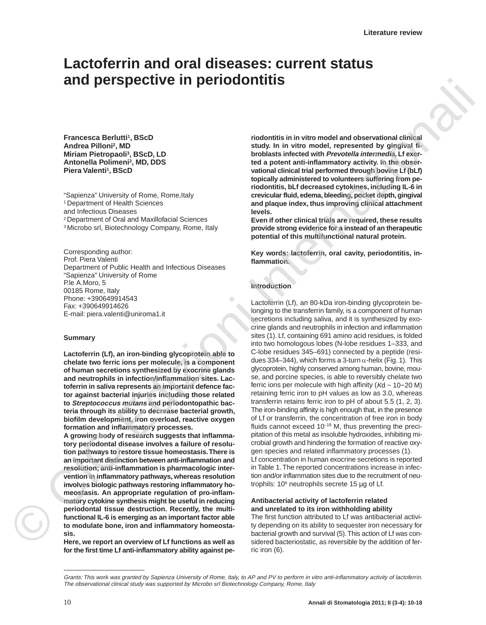# **Lactoferrin and oral diseases: current status and perspective in periodontitis**

**Francesca Berlutti1, BScD Andrea Pilloni2, MD Miriam Pietropaoli3, BScD, LD Antonella Polimeni2, MD, DDS Piera Valenti<sup>1</sup>, BScD** 

"Sapienza" University of Rome, Rome, Italy <sup>1</sup> Department of Health Sciences and Infectious Diseases 2 Department of Oral and Maxillofacial Sciences 3 Microbo srl, Biotechnology Company, Rome, Italy

Corresponding author: Prof. Piera Valenti Department of Public Health and Infectious Diseases "Sapienza" University of Rome P.le A.Moro, 5 00185 Rome, Italy Phone: +390649914543 Fax: +390649914626 E-mail: piera.valenti@uniroma1.it

#### **Summary**

**Lactoferrin (Lf), an iron-binding glycoprotein able to chelate two ferric ions per molecule, is a component of human secretions synthesized by exocrine glands and neutrophils in infection/inflammation sites. Lactoferrin in saliva represents an important defence factor against bacterial injuries including those related to Streptococcus mutans and periodontopathic bacteria through its ability to decrease bacterial growth, biofilm development, iron overload, reactive oxygen formation and inflammatory processes.** 

**A growing body of research suggests that inflammatory periodontal disease involves a failure of resolution pathways to restore tissue homeostasis. There is an important distinction between anti-inflammation and resolution; anti-inflammation is pharmacologic intervention in inflammatory pathways, whereas resolution involves biologic pathways restoring inflammatory homeostasis. An appropriate regulation of pro-inflammatory cytokine synthesis might be useful in reducing periodontal tissue destruction. Recently, the multifunctional IL-6 is emerging as an important factor able to modulate bone, iron and inflammatory homeostasis.**

**Here, we report an overview of Lf functions as well as for the first time Lf anti-inflammatory ability against pe-** **riodontitis in in vitro model and observational clinical study. In in vitro model, represented by gingival fibroblasts infected with Prevotella intermedia, Lf exerted a potent anti-inflammatory activity. In the observational clinical trial performed through bovine Lf (bLf) topically administered to volunteers suffering from periodontitis, bLf decreased cytokines, including IL-6 in crevicular fluid, edema, bleeding, pocket depth, gingival and plaque index, thus improving clinical attachment levels.** 

**Even if other clinical trials are required, these results provide strong evidence for a instead of an therapeutic potential of this multifunctional natural protein.** 

**Key words: lactoferrin, oral cavity, periodontitis, inflammation.**

#### **Introduction**

Lactoferrin (Lf), an 80-kDa iron-binding glycoprotein belonging to the transferrin family, is a component of human secretions including saliva, and it is synthesized by exocrine glands and neutrophils in infection and inflammation sites (1). Lf, containing 691 amino acid residues, is folded into two homologous lobes (N-lobe residues 1–333, and C-lobe residues 345–691) connected by a peptide (residues 334–344), which forms a 3-turn  $α$ -helix (Fig. 1). This glycoprotein, highly conserved among human, bovine, mouse, and porcine species, is able to reversibly chelate two ferric ions per molecule with high affinity (Kd ~ 10−20 M) retaining ferric iron to pH values as low as 3.0, whereas transferrin retains ferric iron to pH of about 5.5 (1, 2, 3). The iron-binding affinity is high enough that, in the presence of Lf or transferrin, the concentration of free iron in body fluids cannot exceed  $10^{-18}$  M, thus preventing the precipitation of this metal as insoluble hydroxides, inhibiting microbial growth and hindering the formation of reactive oxygen species and related inflammatory processes (1). Lf concentration in human exocrine secretions is reported in Table 1. The reported concentrations increase in infection and/or inflammation sites due to the recruitment of neutrophils:  $10^6$  neutrophils secrete 15 µg of Lf. **EFFIRE DEFINITE ITE DEFINITENTS**<br>
Framesca Barkette Nacionalism (ASS of the study in the model and observational ellipses<br>
Andrea Billoni: No. 03<br>
Andrea Billoni: No. 03<br>
Markette Nacional Edizion Internazionalism (ASS)<br>

### **Antibacterial activity of lactoferrin related and unrelated to its iron withholding ability**

The first function attributed to Lf was antibacterial activity depending on its ability to sequester iron necessary for bacterial growth and survival (5). This action of Lf was considered bacteriostatic, as reversible by the addition of ferric iron (6).

Grants: This work was granted by Sapienza University of Rome, Italy, to AP and PV to perform in vitro anti-inflammatory activity of lactoferrin. The observational clinical study was supported by Microbo srl Biotechnology Company, Rome, Italy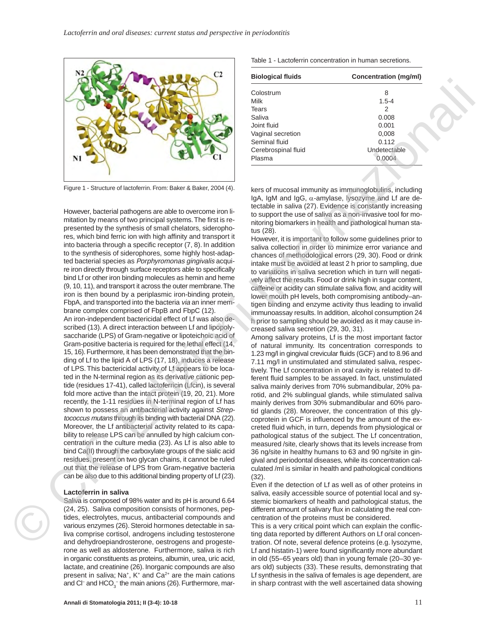

Figure 1 - Structure of lactoferrin. From: Baker & Baker, 2004 (4).

However, bacterial pathogens are able to overcome iron limitation by means of two principal systems. The first is represented by the synthesis of small chelators, siderophores, which bind ferric ion with high affinity and transport it into bacteria through a specific receptor (7, 8). In addition to the synthesis of siderophores, some highly host-adapted bacterial species as Porphyromonas gingivalis acquire iron directly through surface receptors able to specifically bind Lf or other iron binding molecules as hemin and heme (9, 10, 11), and transport it across the outer membrane. The iron is then bound by a periplasmic iron-binding protein, FbpA, and transported into the bacteria via an inner membrane complex comprised of FbpB and FbpC (12). An iron-independent bactericidal effect of Lf was also described (13). A direct interaction between Lf and lipopolysaccharide (LPS) of Gram-negative or lipoteichoic acid of Gram-positive bacteria is required for the lethal effect (14, 15, 16). Furthermore, it has been demonstrated that the binding of Lf to the lipid A of LPS (17, 18), induces a release of LPS. This bactericidal activity of Lf appears to be located in the N-terminal region as its derivative cationic peptide (residues 17-41), called lactoferricin (Lfcin), is several fold more active than the intact protein (19, 20, 21). More recently, the 1-11 residues in N-terminal region of Lf has shown to possess an antibacterial activity against Streptococcus mutans through its binding with bacterial DNA (22). Moreover, the Lf antibacterial activity related to its capability to release LPS can be annulled by high calcium concentration in the culture media (23). As Lf is also able to bind Ca(II) through the carboxylate groups of the sialic acid residues, present on two glycan chains, it cannot be ruled out that the release of LPS from Gram-negative bacteria can be also due to this additional binding property of Lf (23).  $\begin{picture}(1,0) \put(0,0) \put(0,0) \put(0,0) \put(0,0) \put(0,0) \put(0,0) \put(0,0) \put(0,0) \put(0,0) \put(0,0) \put(0,0) \put(0,0) \put(0,0) \put(0,0) \put(0,0) \put(0,0) \put(0,0) \put(0,0) \put(0,0) \put(0,0) \put(0,0) \put(0,0) \put(0,0) \put(0,0) \put(0,0) \put(0,0) \put(0,0) \put(0,0) \put(0,0) \put(0,0) \$ 

#### **Lactoferrin in saliva**

Saliva is composed of 98% water and its pH is around 6.64 (24, 25). Saliva composition consists of hormones, peptides, electrolytes, mucus, antibacterial compounds and various enzymes (26). Steroid hormones detectable in saliva comprise cortisol, androgens including testosterone and dehydroepiandrosterone, oestrogens and progesterone as well as aldosterone. Furthermore, saliva is rich in organic constituents as proteins, albumin, urea, uric acid, lactate, and creatinine (26). Inorganic compounds are also present in saliva; Na<sup>+</sup>, K<sup>+</sup> and Ca<sup>2+</sup> are the main cations and Cl<sup>−</sup> and HCO<sub>3</sub><sup>−</sup> the main anions (26). Furthermore, marTable 1 - Lactoferrin concentration in human secretions.

| <b>Biological fluids</b> | Concentration (mg/ml) |
|--------------------------|-----------------------|
| Colostrum                | 8                     |
| Milk                     | $1.5 - 4$             |
| Tears                    | 2                     |
| Saliva                   | 0.008                 |
| Joint fluid              | 0.001                 |
| Vaginal secretion        | 0,008                 |
| Seminal fluid            | 0.112                 |
| Cerebrospinal fluid      | Undetectable          |
| Plasma                   | 0.0004                |

kers of mucosal immunity as immunoglobulins, including IgA, IgM and IgG, α-amylase, lysozyme and Lf are detectable in saliva (27). Evidence is constantly increasing to support the use of saliva as a non-invasive tool for monitoring biomarkers in health and pathological human status (28).

However, it is important to follow some guidelines prior to saliva collection in order to minimize error variance and chances of methodological errors (29, 30). Food or drink intake must be avoided at least 2 h prior to sampling, due to variations in saliva secretion which in turn will negatively affect the results. Food or drink high in sugar content, caffeine or acidity can stimulate saliva flow, and acidity will lower mouth pH levels, both compromising antibody–antigen binding and enzyme activity thus leading to invalid immunoassay results. In addition, alcohol consumption 24 h prior to sampling should be avoided as it may cause increased saliva secretion (29, 30, 31).

Among salivary proteins, Lf is the most important factor of natural immunity. Its concentration corresponds to 1.23 mg/l in gingival crevicular fluids (GCF) and to 8.96 and 7.11 mg/l in unstimulated and stimulated saliva, respectively. The Lf concentration in oral cavity is related to different fluid samples to be assayed. In fact, unstimulated saliva mainly derives from 70% submandibular, 20% parotid, and 2% sublingual glands, while stimulated saliva mainly derives from 30% submandibular and 60% parotid glands (28). Moreover, the concentration of this glycoprotein in GCF is influenced by the amount of the excreted fluid which, in turn, depends from physiological or pathological status of the subject. The Lf concentration, measured /site, clearly shows that its levels increase from 36 ng/site in healthy humans to 63 and 90 ng/site in gingival and periodontal diseases, while its concentration calculated /ml is similar in health and pathological conditions  $(32)$ 

Even if the detection of Lf as well as of other proteins in saliva, easily accessible source of potential local and systemic biomarkers of health and pathological status, the different amount of salivary flux in calculating the real concentration of the proteins must be considered.

This is a very critical point which can explain the conflicting data reported by different Authors on Lf oral concentration. Of note, several defence proteins (e.g. lysozyme, Lf and histatin-1) were found significantly more abundant in old (55–65 years old) than in young female (20–30 years old) subjects (33). These results, demonstrating that Lf synthesis in the saliva of females is age dependent, are in sharp contrast with the well ascertained data showing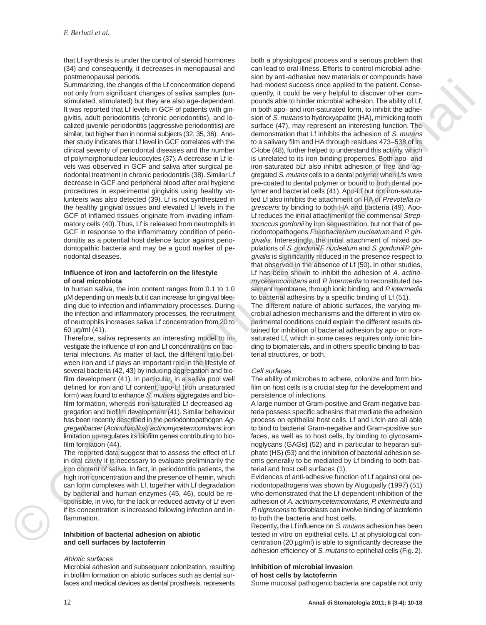that Lf synthesis is under the control of steroid hormones (34) and consequently, it decreases in menopausal and postmenopausal periods.

Summarizing, the changes of the Lf concentration depend not only from significant changes of saliva samples (unstimulated, stimulated) but they are also age-dependent. It was reported that Lf levels in GCF of patients with gingivitis, adult periodontitis (chronic periodontitis), and localized juvenile periodontitis (aggressive periodontitis) are similar, but higher than in normal subjects (32, 35, 36). Another study indicates that Lf level in GCF correlates with the clinical severity of periodontal diseases and the number of polymorphonuclear leucocytes (37). A decrease in Lf levels was observed in GCF and saliva after surgical periodontal treatment in chronic periodontitis (38). Similar Lf decrease in GCF and peripheral blood after oral hygiene procedures in experimental gingivitis using healthy volunteers was also detected (39). Lf is not synthesized in the healthy gingival tissues and elevated Lf levels in the GCF of inflamed tissues originate from invading inflammatory cells (40). Thus, Lf is released from neutrophils in GCF in response to the inflammatory condition of periodontitis as a potential host defence factor against periodontopathic bacteria and may be a good marker of periodontal diseases.

#### **Influence of iron and lactoferrin on the lifestyle of oral microbiota**

In human saliva, the iron content ranges from 0.1 to 1.0 µM depending on meals but it can increase for gingival bleeding due to infection and inflammatory processes. During the infection and inflammatory processes, the recruitment of neutrophils increases saliva Lf concentration from 20 to 60 µg/ml (41).

Therefore, saliva represents an interesting model to investigate the influence of iron and Lf concentrations on bacterial infections. As matter of fact, the different ratio between iron and Lf plays an important role in the lifestyle of several bacteria (42, 43) by inducing aggregation and biofilm development (41). In particular, in a saliva pool well defined for iron and Lf content, apo-Lf (iron unsaturated form) was found to enhance S. mutans aggregates and biofilm formation, whereas iron-saturated Lf decreased aggregation and biofilm development (41). Similar behaviour has been recently described in the periodontopathogen Aggregatibacter (Actinobacillus) actinomycetemcomitans: iron limitation up-regulates its biofilm genes contributing to biofilm formation (44).

The reported data suggest that to assess the effect of Lf in oral cavity it is necessary to evaluate preliminarily the iron content of saliva. In fact, in periodontitis patients, the high iron concentration and the presence of hemin, which can form complexes with Lf, together with Lf degradation by bacterial and human enzymes (45, 46), could be responsible, in vivo, for the lack or reduced activity of Lf even if its concentration is increased following infection and inflammation.

#### **Inhibition of bacterial adhesion on abiotic and cell surfaces by lactoferrin**

### Abiotic surfaces

Microbial adhesion and subsequent colonization, resulting in biofilm formation on abiotic surfaces such as dental surfaces and medical devices as dental prosthesis, represents

both a physiological process and a serious problem that can lead to oral illness. Efforts to control microbial adhesion by anti-adhesive new materials or compounds have had modest success once applied to the patient. Consequently, it could be very helpful to discover other compounds able to hinder microbial adhesion. The ability of Lf, in both apo- and iron-saturated form, to inhibit the adhesion of S. mutans to hydroxyapatite (HA), mimicking tooth surface (47), may represent an interesting function. The demonstration that Lf inhibits the adhesion of S. mutans to a salivary film and HA through residues 473–538 of its C-lobe (48), further helped to understand this activity, which is unrelated to its iron binding properties. Both apo- and iron-saturated bLf also inhibit adhesion of free and aggregated S. mutans cells to a dental polymer when Lfs were pre-coated to dental polymer or bound to both dental polymer and bacterial cells (41). Apo-Lf but not iron-saturated Lf also inhibits the attachment on HA of Prevotella nigrescens by binding to both HA and bacteria (49). Apo-Lf reduces the initial attachment of the commensal Streptococcus gordonii by iron sequestration, but not that of periodontopathogens Fusobacterium nucleatum and P. gingivalis. Interestingly, the initial attachment of mixed populations of S. gordonii/F. nucleatum and S. gordonii/P. gingivalis is significantly reduced in the presence respect to that observed in the absence of Lf (50). In other studies, Lf has been shown to inhibit the adhesion of A. actinomycetemcomitans and P. intermedia to reconstituted basement membrane, through ionic binding, and P. intermedia to bacterial adhesins by a specific binding of Lf (51). Sommation die trainer and the strength of the strength of the strength of the strength of the strength of the strength of the strength of the strength of the strength of the strength of the strength of the strength of the

The different nature of abiotic surfaces, the varying microbial adhesion mechanisms and the different in vitro experimental conditions could explain the different results obtained for inhibition of bacterial adhesion by apo- or ironsaturated Lf, which in some cases requires only ionic binding to biomaterials, and in others specific binding to bacterial structures, or both.

#### Cell surfaces

The ability of microbes to adhere, colonize and form biofilm on host cells is a crucial step for the development and persistence of infections.

A large number of Gram-positive and Gram-negative bacteria possess specific adhesins that mediate the adhesion process on epithelial host cells. Lf and Lfcin are all able to bind to bacterial Gram-negative and Gram-positive surfaces, as well as to host cells, by binding to glycosaminoglycans (GAGs**)** (52) and in particular to heparan sulphate (HS) (53) and the inhibition of bacterial adhesion seems generally to be mediated by Lf binding to both bacterial and host cell surfaces (1).

Evidences of anti-adhesive function of Lf against oral periodontopathogens was shown by Alugupally (1997) (51) who demonstrated that the Lf-dependent inhibition of the adhesion of A. actinomycetemcomitans, P. intermedia and P. nigrescens to fibroblasts can involve binding of lactoferrin to both the bacteria and host cells.

Recently**,** the Lf influence on S. mutans adhesion has been tested in vitro on epithelial cells. Lf at physiological concentration (20 µg/ml) is able to significantly decrease the adhesion efficiency of S. mutans to epithelial cells (Fig. 2).

#### **Inhibition of microbial invasion of host cells by lactoferrin**

Some mucosal pathogenic bacteria are capable not only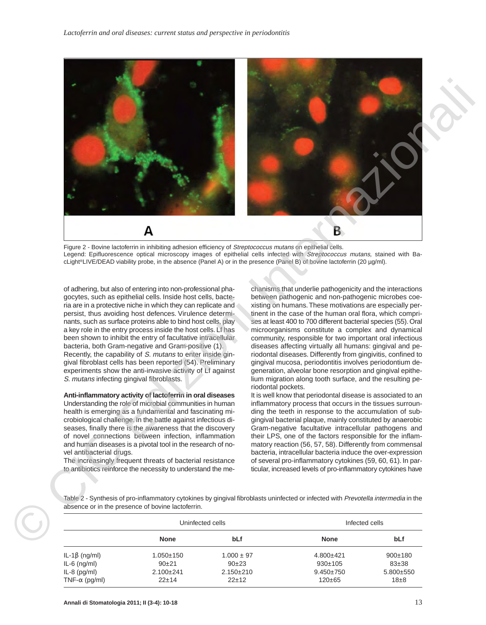

Figure 2 - Bovine lactoferrin in inhibiting adhesion efficiency of Streptococcus mutans on epithelial cells. Legend: Epifluorescence optical microscopy images of epithelial cells infected with Streptococcus mutans, stained with BacLight®LIVE/DEAD viability probe, in the absence (Panel A) or in the presence (Panel B) of bovine lactoferrin (20 µg/ml).

of adhering, but also of entering into non-professional phagocytes, such as epithelial cells. Inside host cells, bacteria are in a protective niche in which they can replicate and persist, thus avoiding host defences. Virulence determinants, such as surface proteins able to bind host cells, play a key role in the entry process inside the host cells. Lf has been shown to inhibit the entry of facultative intracellular bacteria, both Gram-negative and Gram-positive (1). Recently, the capability of S. mutans to enter inside gingival fibroblast cells has been reported (54). Preliminary experiments show the anti-invasive activity of Lf against S. mutans infecting gingival fibroblasts.

**Anti-inflammatory activity of lactoferrin in oral diseases** Understanding the role of microbial communities in human health is emerging as a fundamental and fascinating microbiological challenge. In the battle against infectious diseases, finally there is the awareness that the discovery of novel connections between infection, inflammation and human diseases is a pivotal tool in the research of novel antibacterial drugs.

The increasingly frequent threats of bacterial resistance to antibiotics reinforce the necessity to understand the me-

chanisms that underlie pathogenicity and the interactions between pathogenic and non-pathogenic microbes coexisting on humans.These motivations are especially pertinent in the case of the human oral flora, which comprises at least 400 to 700 different bacterial species (55). Oral microorganisms constitute a complex and dynamical community, responsible for two important oral infectious diseases affecting virtually all humans: gingival and periodontal diseases. Differently from gingivitis, confined to gingival mucosa, periodontitis involves periodontium degeneration, alveolar bone resorption and gingival epithelium migration along tooth surface, and the resulting periodontal pockets.

It is well know that periodontal disease is associated to an inflammatory process that occurs in the tissues surrounding the teeth in response to the accumulation of subgingival bacterial plaque, mainly constituted by anaerobic Gram-negative facultative intracellular pathogens and their LPS, one of the factors responsible for the inflammatory reaction (56, 57, 58). Differently from commensal bacteria, intracellular bacteria induce the over-expression of several pro-inflammatory cytokines (59, 60, 61). In particular, increased levels of pro-inflammatory cytokines have

Table 2 - Synthesis of pro-inflammatory cytokines by gingival fibroblasts uninfected or infected with Prevotella intermedia in the absence or in the presence of bovine lactoferrin.

|                       | Uninfected cells |                 | Infected cells  |                 |
|-----------------------|------------------|-----------------|-----------------|-----------------|
|                       | <b>None</b>      | bLf             | <b>None</b>     | bLf             |
| IL-1β (ng/ml)         | $1.050 \pm 150$  | $1.000 \pm 97$  | $4.800 + 421$   | $900+180$       |
| $IL-6$ (ng/ml)        | $90+21$          | $90+23$         | $930+105$       | $83+38$         |
| $IL-8$ (pg/ml)        | $2.100+241$      | $2.150 \pm 210$ | $9.450 \pm 750$ | $5.800 \pm 550$ |
| TNF- $\alpha$ (pg/ml) | $22 + 14$        | $22 + 12$       | $120 \pm 65$    | $18 + 8$        |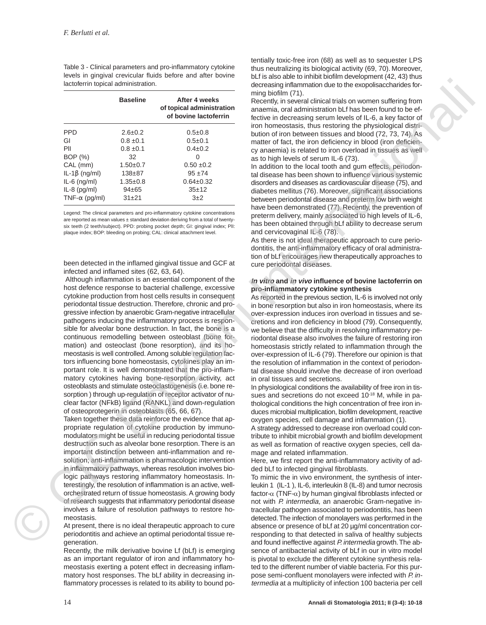Table 3 - Clinical parameters and pro-inflammatory cytokine levels in gingival crevicular fluids before and after bovine lactoferrin topical administration.

|                       | <b>Baseline</b> | After 4 weeks<br>of topical administration<br>of bovine lactoferrin |
|-----------------------|-----------------|---------------------------------------------------------------------|
| PPD                   | $2.6 \pm 0.2$   | $0.5 \pm 0.8$                                                       |
| GI                    | $0.8 \pm 0.1$   | $0.5 \pm 0.1$                                                       |
| PII                   | $0.8 \pm 0.1$   | $0.4 \pm 0.2$                                                       |
| BOP (%)               | 32              | $\mathbf{0}$                                                        |
| CAL (mm)              | $1.50+0.7$      | $0.50 \pm 0.2$                                                      |
| $IL-1\beta$ (ng/ml)   | $138 + 87$      | $95 + 74$                                                           |
| $IL-6$ (ng/ml)        | $1.35 \pm 0.8$  | $0.64 \pm 0.32$                                                     |
| $IL-8$ (pg/ml)        | $94 + 65$       | $35+12$                                                             |
| TNF- $\alpha$ (pg/ml) | $31 + 21$       | $3+2$                                                               |

Legend: The clinical parameters and pro-inflammatory cytokine concentrations are reported as mean values  $\pm$  standard deviation deriving from a total of twenty six teeth (2 teeth/subject). PPD: probing pocket depth; GI: gingival index; PlI: plaque index; BOP: bleeding on probing; CAL: clinical attachment level.

been detected in the inflamed gingival tissue and GCF at infected and inflamed sites (62, 63, 64).

Although inflammation is an essential component of the host defence response to bacterial challenge, excessive cytokine production from host cells results in consequent periodontal tissue destruction.Therefore, chronic and progressive infection by anaerobic Gram-negative intracellular pathogens inducing the inflammatory process is responsible for alveolar bone destruction. In fact, the bone is a continuous remodelling between osteoblast (bone formation) and osteoclast (bone resorption), and its homeostasis is well controlled. Among soluble regulation factors influencing bone homeostasis, cytokines play an important role. It is well demonstrated that the pro-inflammatory cytokines having bone-resorption activity, act osteoblasts and stimulate osteoclastogenesis (i.e. bone resorption ) through up-regulation of receptor activator of nuclear factor (NFkB) ligand (RANKL) and down-regulation of osteoprotegerin in osteoblasts (65, 66, 67). Internazion structural denoting with the second internazion internazionalisation internazionalisation internazionalisation internazionalisation internazionalisation internazionalisation internazionalisation internazional

Taken together these data reinforce the evidence that appropriate regulation of cytokine production by immunomodulators might be useful in reducing periodontal tissue destruction such as alveolar bone resorption.There is an important distinction between anti-inflammation and resolution; anti-inflammation is pharmacologic intervention in inflammatory pathways, whereas resolution involves biologic pathways restoring inflammatory homeostasis. Interestingly, the resolution of inflammation is an active, wellorchestrated return of tissue homeostasis. A growing body of research suggests that inflammatory periodontal disease involves a failure of resolution pathways to restore homeostasis.

At present, there is no ideal therapeutic approach to cure periodontitis and achieve an optimal periodontal tissue regeneration.

Recently, the milk derivative bovine Lf (bLf) is emerging as an important regulator of iron and inflammatory homeostasis exerting a potent effect in decreasing inflammatory host responses. The bLf ability in decreasing inflammatory processes is related to its ability to bound po-

tentially toxic-free iron (68) as well as to sequester LPS thus neutralizing its biological activity (69, 70). Moreover, bLf is also able to inhibit biofilm development (42, 43) thus decreasing inflammation due to the exopolisaccharides forming biofilm (71).

Recently, in several clinical trials on women suffering from anaemia, oral administration bLf has been found to be effective in decreasing serum levels of IL-6, a key factor of iron homeostasis, thus restoring the physiological distribution of iron between tissues and blood (72, 73, 74). As matter of fact, the iron deficiency in blood (iron deficiency anaemia) is related to iron overload in tissues as well as to high levels of serum IL-6 (73).

In addition to the local tooth and gum effects, periodontal disease has been shown to influence various systemic disorders and diseases as cardiovascular disease (75), and diabetes mellitus (76). Moreover, significant associations between periodontal disease and preterm low birth weight have been demonstrated (77). Recently, the prevention of preterm delivery, mainly associated to high levels of IL-6, has been obtained through bLf ability to decrease serum and cervicovaginal IL-6 (78).

As there is not ideal therapeutic approach to cure periodontitis, the anti-inflammatory efficacy of oral administration of bLf encourages new therapeutically approaches to cure periodontal diseases.

#### **In vitro and in vivo influence of bovine lactoferrin on pro-inflammatory cytokine synthesis**

As reported in the previous section, IL-6 is involved not only in bone resorption but also in iron homeostasis, where its over-expression induces iron overload in tissues and secretions and iron deficiency in blood (79). Consequently, we believe that the difficulty in resolving inflammatory periodontal disease also involves the failure of restoring iron homeostasis strictly related to inflammation through the over-expression of IL-6 (79). Therefore our opinion is that the resolution of inflammation in the context of periodontal disease should involve the decrease of iron overload in oral tissues and secretions.

In physiological conditions the availability of free iron in tissues and secretions do not exceed 10<sup>-18</sup> M, while in pathological conditions the high concentration of free iron induces microbial multiplication, biofilm development, reactive oxygen species, cell damage and inflammation (1).

A strategy addressed to decrease iron overload could contribute to inhibit microbial growth and biofilm development as well as formation of reactive oxygen species, cell damage and related inflammation.

Here, we first report the anti-inflammatory activity of added bLf to infected gingival fibroblasts.

To mimic the in vivo environment, the synthesis of interleukin 1 (IL-1 ), IL-6, interleukin 8 (IL-8) and tumor necrosis factor-α (TNF-α) by human gingival fibroblasts infected or not with P. intermedia, an anaerobic Gram-negative intracellular pathogen associated to periodontitis, has been detected. The infection of monolayers was performed in the absence or presence of bLf at 20 µg/ml concentration corresponding to that detected in saliva of healthy subjects and found ineffective against P. intermedia growth. The absence of antibacterial activity of bLf in our in vitro model is pivotal to exclude the different cytokine synthesis related to the different number of viable bacteria. For this purpose semi-confluent monolayers were infected with P. intermedia at a multiplicity of infection 100 bacteria per cell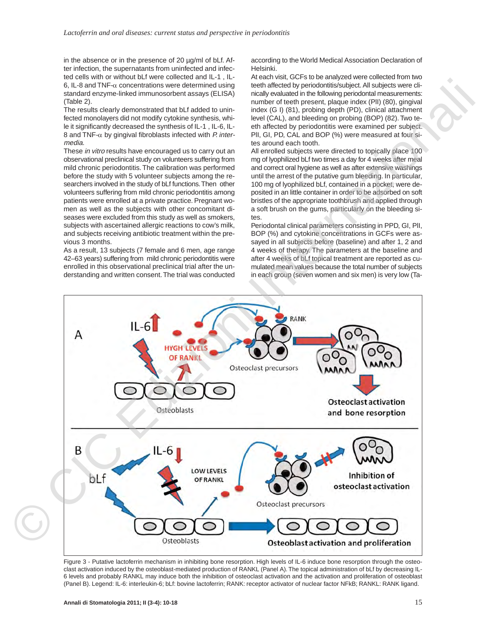in the absence or in the presence of 20 ug/ml of bLf. After infection, the supernatants from uninfected and infected cells with or without bLf were collected and IL-1 , IL-6, IL-8 and TNF- $\alpha$  concentrations were determined using standard enzyme-linked immunosorbent assays (ELISA) (Table 2).

The results clearly demonstrated that bLf added to uninfected monolayers did not modify cytokine synthesis, while it significantly decreased the synthesis of IL-1 , IL-6, IL-8 and TNF- $\alpha$  by gingival fibroblasts infected with P. intermedia.

These in vitro results have encouraged us to carry out an observational preclinical study on volunteers suffering from mild chronic periodontitis. The calibration was performed before the study with 5 volunteer subjects among the researchers involved in the study of bLf functions. Then other volunteers suffering from mild chronic periodontitis among patients were enrolled at a private practice. Pregnant women as well as the subjects with other concomitant diseases were excluded from this study as well as smokers, subjects with ascertained allergic reactions to cow's milk, and subjects receiving antibiotic treatment within the previous 3 months.

As a result, 13 subjects (7 female and 6 men, age range 42–63 years) suffering from mild chronic periodontitis were enrolled in this observational preclinical trial after the understanding and written consent. The trial was conducted according to the World Medical Association Declaration of Helsinki.

At each visit, GCFs to be analyzed were collected from two teeth affected by periodontitis/subject. All subjects were clinically evaluated in the following periodontal measurements: number of teeth present, plaque index (PlI) (80), gingival index (G I) (81), probing depth (PD), clinical attachment level (CAL), and bleeding on probing (BOP) (82). Two teeth affected by periodontitis were examined per subject. PlI, GI, PD, CAL and BOP (%) were measured at four sites around each tooth.

All enrolled subjects were directed to topically place 100 mg of lyophilized bLf two times a day for 4 weeks after meal and correct oral hygiene as well as after extensive washings until the arrest of the putative gum bleeding. In particular, 100 mg of lyophilized bLf, contained in a pocket, were deposited in an little container in order to be adsorbed on soft bristles of the appropriate toothbrush and applied through a soft brush on the gums, particularly on the bleeding sites.

Periodontal clinical parameters consisting in PPD, GI, PlI, BOP (%) and cytokine concentrations in GCFs were assayed in all subjects before (baseline) and after 1, 2 and 4 weeks of therapy. The parameters at the baseline and after 4 weeks of bLf topical treatment are reported as cumulated mean values because the total number of subjects in each group (seven women and six men) is very low (Ta-



Figure 3 - Putative lactoferrin mechanism in inhibiting bone resorption. High levels of IL-6 induce bone resorption through the osteoclast activation induced by the osteoblast-mediated production of RANKL (Panel A). The topical administration of bLf by decreasing IL-6 levels and probably RANKL may induce both the inhibition of osteoclast activation and the activation and proliferation of osteoblast (Panel B). Legend: IL-6: interleukin-6; bLf: bovine lactoferrin; RANK: receptor activator of nuclear factor NFkB; RANKL: RANK ligand.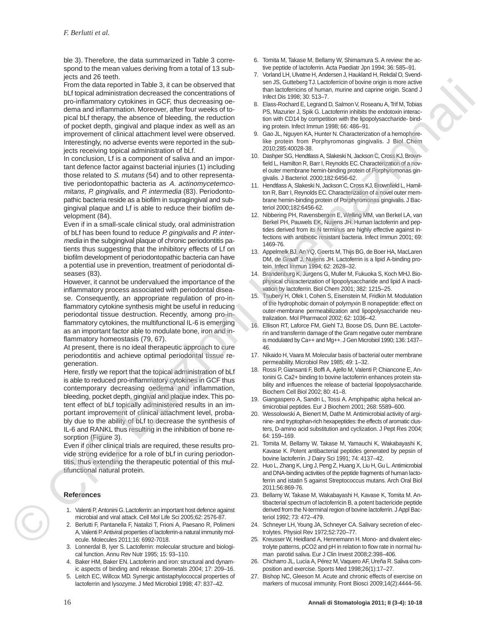ble 3). Therefore, the data summarized in Table 3 correspond to the mean values deriving from a total of 13 subjects and 26 teeth.

From the data reported in Table 3, it can be observed that bLf topical administration decreased the concentrations of pro-inflammatory cytokines in GCF, thus decreasing oedema and inflammation. Moreover, after four weeks of topical bLf therapy, the absence of bleeding, the reduction of pocket depth, gingival and plaque index as well as an improvement of clinical attachment level were observed. Interestingly, no adverse events were reported in the subjects receiving topical administration of bLf. Example and the state internalistics of the state of the state internalistics of the state of the state internalistics of the state internalistics of the state internalistics of the state internalistics of the state inter

In conclusion, Lf is a component of saliva and an important defence factor against bacterial injuries (1) including those related to S. mutans (54) and to other representative periodontopathic bacteria as A. actinomycetemcomitans, P. gingivalis, and P. intermedia (83). Periodontopathic bacteria reside as a biofilm in supragingival and subgingival plaque and Lf is able to reduce their biofilm development (84).

Even if in a small-scale clinical study, oral administration of bLf has been found to reduce P. gingivalis and P. intermedia in the subgingival plaque of chronic periodontitis patients thus suggesting that the inhibitory effects of Lf on biofilm development of periodontopathic bacteria can have a potential use in prevention, treatment of periodontal diseases (83).

However, it cannot be undervalued the importance of the inflammatory process associated with periodontal disease. Consequently, an appropriate regulation of pro-inflammatory cytokine synthesis might be useful in reducing periodontal tissue destruction. Recently, among pro-inflammatory cytokines, the multifunctional IL-6 is emerging as an important factor able to modulate bone, iron and inflammatory homeostasis (79, 67).

At present, there is no ideal therapeutic approach to cure periodontitis and achieve optimal periodontal tissue regeneration.

Here, firstly we report that the topical administration of bLf is able to reduced pro-inflammatory cytokines in GCF thus contemporary decreasing oedema and inflammation, bleeding, pocket depth, gingival and plaque index. This potent effect of bLf topically administered results in an important improvement of clinical attachment level, probably due to the ability of bLf to decrease the synthesis of IL-6 and RANKL thus resulting in the inhibition of bone resorption (Figure 3).

Even if other clinical trials are required, these results provide strong evidence for a role of bLf in curing periodontitis, thus extending the therapeutic potential of this multifunctional natural protein.

## **References**

- 1. Valenti P, Antonini G. Lactoferrin: an important host defence against microbial and viral attack. Cell Mol Life Sci 2005;62: 2576-87.
- 2. Berlutti F, Pantanella F, Natalizi T, Frioni A, Paesano R, Polimeni A, Valenti P. Antiviral properties of lactoferrin-a natural immunity molecule. Molecules 2011;16: 6992-7018.
- 3. Lonnerdal B, Iyer S. Lactoferrin: molecular structure and biological function. Annu Rev Nutr 1995; 15: 93–110.
- 4. Baker HM, Baker EN. Lactoferrin and iron: structural and dynamic aspects of binding and release. Biometals 2004; 17: 209–16.
- 5. Leitch EC, Willcox MD. Synergic antistaphylococcal properties of lactoferrin and lysozyme. J Med Microbiol 1998; 47: 837–42.
- 6. Tomita M, Takase M, Bellamy W, Shimamura S. A review: the active peptide of lactoferrin. Acta Paediatr Jpn 1994; 36: 585–91.
- 7. Vorland LH, Ulvatne H, Andersen J, Haukland H, Rekdal O, Svendsen JS, Gutteberg TJ. Lactoferricin of bovine origin is more active than lactoferricins of human, murine and caprine origin. Scand J Infect Dis 1998; 30: 513–7.
- 8. Elass-Rochard E, Legrand D, Salmon V, Roseanu A, Trif M, Tobias PS, Mazurier J, Spik G. Lactoferrin inhibits the endotoxin interaction with CD14 by competition with the lipopolysaccharide- binding protein. Infect Immun 1998; 66: 486–91.
- 9. Gao JL, Nguyen KA, Hunter N. Characterization of a hemophorelike protein from Porphyromonas gingivalis. J Biol Chem 2010;285:40028-38.
- 10. Dashper SG, Hendtlass A, Slakeski N, Jackson C, Cross KJ, Brownfield L, Hamilton R, Barr I, Reynolds EC. Characterization of a novel outer membrane hemin-binding protein of Porphyromonas gingivalis. J Bacteriol. 2000;182:6456-62.
- 11. Hendtlass A, Slakeski N, Jackson C, Cross KJ, Brownfield L, Hamilton R, Barr I, Reynolds EC. Characterization of a novel outer membrane hemin-binding protein of Porphyromonas gingivalis. J Bacteriol 2000;182:6456-62.
- 12. Nibbering PH, Ravensbergen E, Welling MM, van Berkel LA, van Berkel PH, Pauwels EK, Nuijens JH. Human lactoferrin and peptides derived from its N terminus are highly effective against infections with antibiotic resistant bacteria. Infect Immun 2001; 69: 1469-76.
- 13. Appelmelk BJ, An YQ, Geerts M, Thijs BG, de Boer HA, MacLaren DM, de Graaff J, Nuijens JH. Lactoferrin is a lipid A-binding protein. Infect Immun 1994; 62: 2628–32.
- 14. Brandenburg K, Jurgens G, Muller M, Fukuoka S, Koch MHJ. Biophysical characterization of lipopolysaccharide and lipid A inactivation by lactoferrin. Biol Chem 2001; 382: 1215–25.
- 15. Tsubery H, Ofek I, Cohen S, Eisenstein M, Fridkin M. Modulation of the hydrophobic domain of polymyxin B nonapeptide: effect on outer-membrane permeabilization and lipopolysaccharide neutralization. Mol Pharmacol 2002; 62: 1036–42.
- 16. Ellison RT, Laforce FM, Giehl TJ, Boose DS, Dunn BE. Lactoferrin and transferrin damage of the Gram negative outer membrane is modulated by Ca++ and Mg++. J Gen Microbiol 1990; 136: 1437– 46.
- 17. Nikaido H, Vaara M. Molecular basis of bacterial outer membrane permeability. Microbiol Rev 1985; 49: 1–32.
- 18. Rossi P, Giansanti F, Boffi A, Ajello M, Valenti P, Chiancone E, Antonini G. Ca2+ binding to bovine lactoferrin enhances protein stability and influences the release of bacterial lipopolysaccharide. Biochem Cell Biol 2002; 80: 41–8.
- 19. Giangaspero A, Sandri L, Tossi A. Amphipathic alpha helical antimicrobial peptides. Eur J Biochem 2001; 268: 5589–600.
- 20. Wessolowski A, Bienert M, Dathe M. Antimicrobial activity of arginine- and tryptophan-rich hexapeptides: the effects of aromatic clusters, D-amino acid substitution and cyclization. J Pept Res 2004; 64: 159–169.
- 21. Tomita M, Bellamy W, Takase M, Yamauchi K, Wakabayashi K, Kavase K. Potent antibacterial peptides generated by pepsin of bovine lactoferrin. J Dairy Sci 1991; 74: 4137–42.
- 22. Huo L, Zhang K, Ling J, Peng Z, Huang X, Liu H, Gu L. Antimicrobial and DNA-binding activities of the peptide fragments of human lactoferrin and istatin 5 against Streptococcus mutans. Arch Oral Biol 2011;56:869-76.
- 23. Bellamy W, Takase M, Wakabayashi H, Kavase K, Tomita M. Antibacterial spectrum of lactoferricin B, a potent bactericide peptide derived from the N-terminal region of bovine lactoferrin. J Appl Bacteriol 1992; 73: 472–479.
- 24. Schneyer LH, Young JA, Schneyer CA. Salivary secretion of electrolytes. Physiol Rev 1972;52:720–77.
- 25. Kreusser W, Heidland A, Hennemann H. Mono- and divalent electrolyte patterns, pCO2 and pH in relation to flow rate in normal human parotid saliva. Eur J Clin Invest 2008;2:398–406.
- 26. Chicharro JL, Lucía A, Pérez M, Vaquero AF, Ureña R. Saliva composition and exercise. Sports Med 1998;26(1):17–27.
- 27. Bishop NC, Gleeson M. Acute and chronic effects of exercise on markers of mucosal immunity. Front Biosci 2009;14(2):4444–56.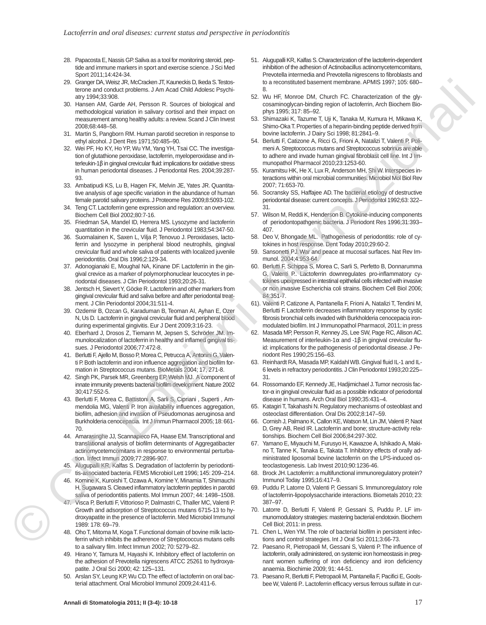- 28. Papacosta E, Nassis GP. Saliva as a tool for monitoring steroid, peptide and immune markers in sport and exercise science. J Sci Med Sport 2011;14:424-34.
- 29. Granger DA, Weisz JR, McCracken JT, Kauneckis D, Ikeda S. Testosterone and conduct problems. J Am Acad Child Adolesc Psychiatry 1994;33:908.
- 30. Hansen AM, Garde AH, Persson R. Sources of biological and methodological variation in salivary cortisol and their impact on measurement among healthy adults: a review. Scand J Clin Invest 2008;68:448–58.
- 31. Martin S, Pangborn RM. Human parotid secretion in response to ethyl alcohol. J Dent Res 1971;50:485–90.
- 32. Wei PF, Ho KY, Ho YP, Wu YM, Yang YH, Tsai CC. The investigation of glutathione peroxidase, lactoferrin, myeloperoxidase and interleukin-1β in gingival crevicular fluid: implications for oxidative stress in human periodontal diseases. J Periodontal Res. 2004;39:287- 93.
- 33. Ambatipudi KS, Lu B, Hagen FK, Melvin JE, Yates JR. Quantitative analysis of age specific variation in the abundance of human female parotid salivary proteins. J Proteome Res 2009;8:5093-102.
- 34. Teng CT. Lactoferrin gene expression and regulation: an overview. Biochem Cell Biol 2002;80:7-16.
- 35. Friedman SA, Mandel ID, Herrera MS. Lysozyme and lactoferrin quantitation in the crevicular fluid. J Periodontol 1983;54:347-50.
- Suomalainen K, Saxen L, Vilja P, Tenovuo J. Peroxidases, lactoferrin and lysozyme in peripheral blood neutrophils, gingival crevicular fluid and whole saliva of patients with localized juvenile periodontitis. Oral Dis 1996;2:129-34.
- 37. Adonogianaki E, Moughal NA, Kinane DF. Lactoferrin in the gingival crevice as a marker of polymorphonuclear leucocytes in periodontal diseases. J Clin Periodontol 1993;20:26-31.
- 38. Jentsch H, Sievert Y, Göcke R. Lactoferrin and other markers from gingival crevicular fluid and saliva before and after periodontal treatment. J Clin Periodontol 2004;31:511-4.
- 39. Ozdemir B, Ozcan G, Karaduman B, Teoman AI, Ayhan E, Ozer N, Us D. Lactoferrin in gingival crevicular fluid and peripheral blood during experimental gingivitis. Eur J Dent 2009;3:16-23.
- 40. Eberhard J, Drosos Z, Tiemann M, Jepsen S, Schröder JM. Immunolocalization of lactoferrin in healthy and inflamed gingival tissues. J Periodontol 2006;77:472-8.
- 41. Berlutti F, Ajello M, Bosso P, Morea C, Petrucca A, Antonini G, Valenti P. Both lactoferrin and iron influence aggregation and biofilm formation in Streptococcus mutans. BioMetals 2004; 17, 271-8.
- 42. Singh PK, Parsek MR, Greenberg EP, Welsh MJ. A component of innate immunity prevents bacterial biofilm development. Nature 2002 30;417:552-5.
- 43. Berlutti F, Morea C, Battistoni A, Sarli S, Cipriani , Superti , Ammendolia MG, Valenti P. Iron availability influences aggregation, biofilm, adhesion and invasion of Pseudomonas aeruginosa and Burkholderia cenocepacia. Int J Immun Pharmacol 2005; 18: 661- 70.
- 44. Amarasinghe JJ, Scannapieco FA, Haase EM. Transcriptional and translational analysis of biofilm determinants of Aggregatibacter actinomycetemcomitans in response to environmental perturbation. Infect Immun 2009;77:2896-907.
- 45. Alugupalli KR, Kalfas S. Degradation of lactoferrin by periodontitis-associated bacteria. FEMS Microbiol Lett 1996; 145: 209–214.
- 46. Komine K, Kuroishi T, Ozawa A, Komine Y, Minamia T, Shimauchi H, Sugawara S. Cleaved inflammatory lactoferrin peptides in parotid saliva of periodontitis patients. Mol Immun 2007; 44: 1498–1508.
- 47. Visca P, Berlutti F, Vittorioso P, Dalmastri C, Thaller MC, Valenti P. Growth and adsorption of Streptococcus mutans 6715-13 to hydroxyapatite in the presence of lactoferrin. Med Microbiol Immunol 1989: 178: 69–79.
- 48. Oho T, Mitoma M, Koga T. Functional domain of bovine milk lactoferrin which inhibits the adherence of Streptococcus mutans cells to a salivary film. Infect Immun 2002; 70: 5279–82.
- 49. Hirano Y, Tamura M, Hayashi K. Inhibitory effect of lactoferrin on the adhesion of Prevotella nigrescens ATCC 25261 to hydroxyapatite. J Oral Sci 2000; 42: 125–131.
- 50. Arslan SY, Leung KP, Wu CD. The effect of lactoferrin on oral bacterial attachment. Oral Microbiol Immunol 2009;24:411-6.
- 51. Alugupalli KR, Kalfas S. Characterization of the lactoferrin-dependent inhibition of the adhesion of Actinobacillus actinomycetemcomitans, Prevotella intermedia and Prevotella nigrescens to fibroblasts and to a reconstituted basement membrane. APMIS 1997; 105: 680– 8.
- 52. Wu HF, Monroe DM, Church FC. Characterization of the glycosaminoglycan-binding region of lactoferrin, Arch Biochem Biophys 1995; 317: 85–92.
- 53. Shimazaki K, Tazume T, Uji K, Tanaka M, Kumura H, Mikawa K, Shimo-Oka T. Properties of a heparin-binding peptide derived from bovine lactoferrin. J Dairy Sci 1998; 81:2841–9.
- 54. Berlutti F, Catizone A, Ricci G, Frioni A, Natalizi T, Valenti P, Polimeni A. Streptococcus mutans and Streptococcus sobrinus are able to adhere and invade human gingival fibroblast cell line. Int J Immunopathol Pharmacol 2010;23:1253-60.
- 55. Kuramitsu HK, He X, Lux R, Anderson MH, Shi W. Interspecies interactions within oral microbial communities. Microbiol Mol Biol Rev 2007; 71:653-70.
- 56. Socransky SS, Haffajee AD. The bacterial etiology of destructive periodontal disease: current concepts. J Periodontol 1992;63: 322– 31.
- 57. Wilson M, Reddi K, Henderson B. Cytokine-inducing components of periodontopathgenic bacteria. J Periodont Res 1996;31:393– 407.
- 58. Deo V, Bhongade ML. Pathogenesis of periodontitis: role of cytokines in host response. Dent Today 2010;29:60-2.
- 59. Sansonetti PJ. War and peace at mucosal surfaces. Nat Rev Immunol. 2004;4:953-64.
- 60. Berlutti F, Schippa S, Morea C, Sarli S, Perfetto B, Donnarumma G, Valenti P.. Lactoferrin downregulates pro-inflammatory cytokines upexpressed in intestinal epithelial cells infected with invasive or non invasive Escherichia coli strains. Biochem Cell Biol 2006; 84:351-7. 25. September 2002 (1992). The main state of the second state is the second state international international internalisation in the second state is the second state internalisation in the second state is the second stat
	- 61). Valenti P, Catizone A, Pantanella F, Frioni A, Natalizi T, Tendini M, Berlutti F. Lactoferrin decreases inflammatory response by cystic fibrosis bronchial cells invaded with Burkholderia cenocepacia ironmodulated biofilm. Int J Immunopathol Pharmacol, 2011; in press
	- 62. Masada MP, Persson R, Kenney JS, Lee SW, Page RC, Allison AC. Measurement of interleukin-1α and -1β in gingival crevicular fluid: implications for the pathogenesis of periodontal disease. J Periodont Res 1990;25:156–63.
	- 63. Reinhardt RA, Masada MP, Kaldahl WB. Gingival fluid IL-1 and IL-6 levels in refractory periodontitis. J Clin Periodontol 1993;20:225– 31.
	- 64. Rossomando EF, Kennedy JE, Hadjimichael J. Tumor necrosis factor-α in gingival crevicular fluid as a possible indicator of periodontal disease in humans. Arch Oral Biol 1990;35:431–4.
	- 65. Katagiri T, Takahashi N. Regulatory mechanisms of osteoblast and osteoclast differentiation. Oral Dis 2002;8:147–59.
	- 66. Cornish J, Palmano K, Callon KE, Watson M, Lin JM, Valenti P, Naot D, Grey AB, Reid IR. Lactoferrin and bone; structure-activity relationships. Biochem Cell Biol 2006;84:297-302.
	- 67. Yamano E, Miyauchi M, Furusyo H, Kawazoe A, Ishikado A, Makino T, Tanne K, Tanaka E, Takata T. Inhibitory effects of orally administrated liposomal bovine lactoferrin on the LPS-induced osteoclastogenesis. Lab Invest 2010;90:1236-46.
	- 68. Brock JH. Lactoferrin: a multifunctional immunoregulatory protein? Immunol Today 1995;16:417–9.
	- 69. Puddu P, Latorre D, Valenti P, Gessani S. Immunoregulatory role of lactoferrin-lipopolysaccharide interactions. Biometals 2010; 23: 387–97.
	- 70. Latorre D, Berlutti F, Valenti P, Gessani S, Puddu P.. LF immunomodulatory strategies: mastering bacterial endotoxin. Biochem Cell Biol; 2011: in press.
	- 71. Chen L, Wen YM. The role of bacterial biofilm in persistent infections and control strategies. Int J Oral Sci 2011;3:66-73.
	- 72. Paesano R, Pietropaoli M, Gessani S, Valenti P. The influence of lactoferrin, orally administered, on systemic iron homeostasis in pregnant women suffering of iron deficiency and iron deficiency anaemia. Biochimie 2009; 91: 44-51.
	- 73. Paesano R, Berlutti F, Pietropaoli M, Pantanella F, Pacifici E, Goolsbee W, Valenti P.. Lactoferrin efficacy versus ferrous sulfate in cur-